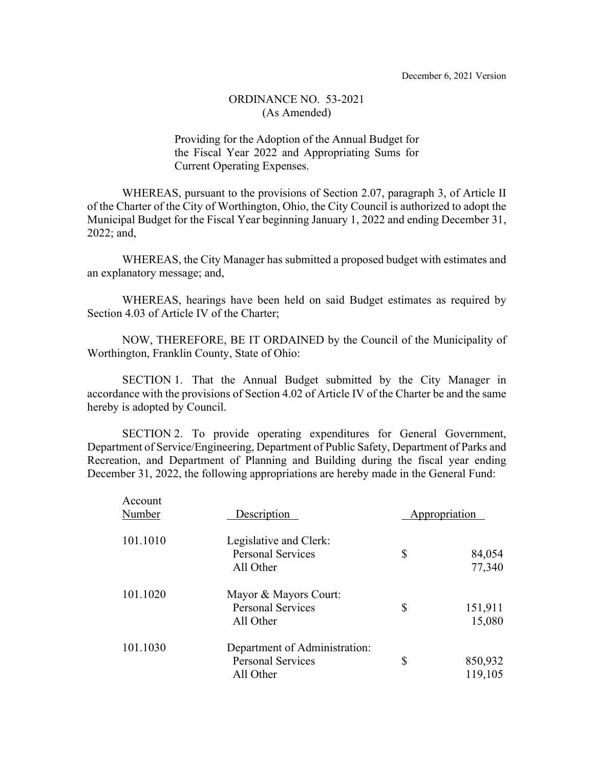Providing for the Adoption of the Annual Budget for the Fiscal Year 2022 and Appropriating Sums for Current Operating Expenses.

WHEREAS, pursuant to the provisions of Section 2.07, paragraph 3, of Article II of the Charter of the City of Worthington, Ohio, the City Council is authorized to adopt the Municipal Budget for the Fiscal Year beginning January 1, 2022 and ending December 31, 2022; and,

WHEREAS, the City Manager has submitted a proposed budget with estimates and an explanatory message; and,

WHEREAS, hearings have been held on said Budget estimates as required by Section 4.03 of Article IV of the Charter;

NOW, THEREFORE, BE IT ORDAINED by the Council of the Municipality of Worthington, Franklin County, State of Ohio:

SECTION 1. That the Annual Budget submitted by the City Manager in accordance with the provisions of Section 4.02 of Article IV of the Charter be and the same hereby is adopted by Council.

SECTION 2. To provide operating expenditures for General Government, Department of Service/Engineering, Department of Public Safety, Department of Parks and Recreation, and Department of Planning and Building during the fiscal year ending December 31, 2022, the following appropriations are hereby made in the General Fund:

| Account<br>Number | Description                                                            | Appropriation |                    |
|-------------------|------------------------------------------------------------------------|---------------|--------------------|
| 101.1010          | Legislative and Clerk:<br><b>Personal Services</b><br>All Other        | \$            | 84,054<br>77,340   |
| 101.1020          | Mayor & Mayors Court:<br><b>Personal Services</b><br>All Other         | \$            | 151,911<br>15,080  |
| 101.1030          | Department of Administration:<br><b>Personal Services</b><br>All Other | \$            | 850,932<br>119,105 |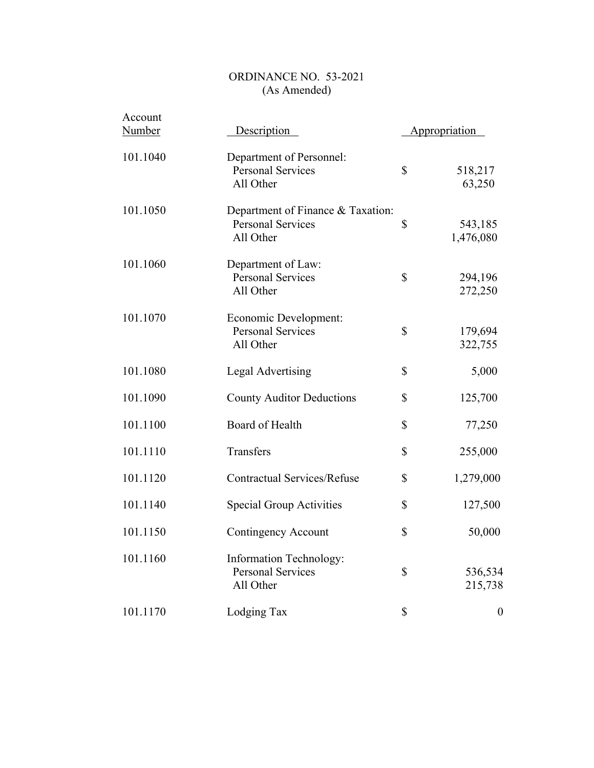| Account       |                                                                            |                      |                      |
|---------------|----------------------------------------------------------------------------|----------------------|----------------------|
| <b>Number</b> | Description                                                                | <b>Appropriation</b> |                      |
| 101.1040      | Department of Personnel:<br><b>Personal Services</b><br>All Other          | \$                   | 518,217<br>63,250    |
| 101.1050      | Department of Finance & Taxation:<br><b>Personal Services</b><br>All Other | \$                   | 543,185<br>1,476,080 |
| 101.1060      | Department of Law:<br><b>Personal Services</b><br>All Other                | \$                   | 294,196<br>272,250   |
| 101.1070      | Economic Development:<br><b>Personal Services</b><br>All Other             | \$                   | 179,694<br>322,755   |
| 101.1080      | <b>Legal Advertising</b>                                                   | \$                   | 5,000                |
| 101.1090      | <b>County Auditor Deductions</b>                                           | \$                   | 125,700              |
| 101.1100      | Board of Health                                                            | \$                   | 77,250               |
| 101.1110      | Transfers                                                                  | \$                   | 255,000              |
| 101.1120      | <b>Contractual Services/Refuse</b>                                         | \$                   | 1,279,000            |
| 101.1140      | Special Group Activities                                                   | \$                   | 127,500              |
| 101.1150      | <b>Contingency Account</b>                                                 | \$                   | 50,000               |
| 101.1160      | <b>Information Technology:</b><br><b>Personal Services</b><br>All Other    | \$                   | 536,534<br>215,738   |
| 101.1170      | Lodging Tax                                                                | \$                   | $\boldsymbol{0}$     |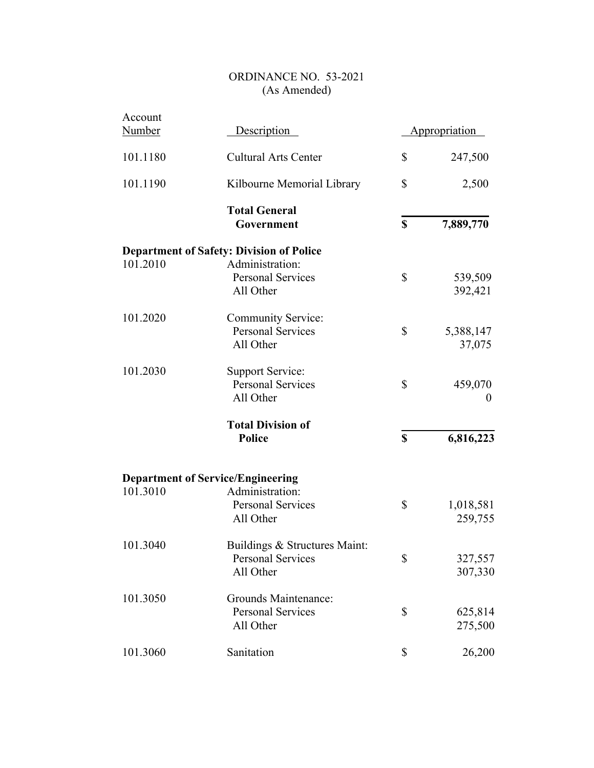| Account<br><b>Number</b> | Description                                                            | Appropriation              |
|--------------------------|------------------------------------------------------------------------|----------------------------|
| 101.1180                 | <b>Cultural Arts Center</b>                                            | \$<br>247,500              |
| 101.1190                 | Kilbourne Memorial Library                                             | \$<br>2,500                |
|                          | <b>Total General</b><br>Government                                     | \$<br>7,889,770            |
|                          | <b>Department of Safety: Division of Police</b>                        |                            |
| 101.2010                 | Administration:<br><b>Personal Services</b><br>All Other               | \$<br>539,509<br>392,421   |
| 101.2020                 | <b>Community Service:</b><br><b>Personal Services</b><br>All Other     | \$<br>5,388,147<br>37,075  |
| 101.2030                 | <b>Support Service:</b><br><b>Personal Services</b><br>All Other       | \$<br>459,070<br>$\theta$  |
|                          | <b>Total Division of</b><br><b>Police</b>                              | \$<br>6,816,223            |
|                          | <b>Department of Service/Engineering</b>                               |                            |
| 101.3010                 | Administration:<br><b>Personal Services</b><br>All Other               | \$<br>1,018,581<br>259,755 |
| 101.3040                 | Buildings & Structures Maint:<br><b>Personal Services</b><br>All Other | \$<br>327,557<br>307,330   |
| 101.3050                 | <b>Grounds Maintenance:</b><br><b>Personal Services</b><br>All Other   | \$<br>625,814<br>275,500   |
| 101.3060                 | Sanitation                                                             | \$<br>26,200               |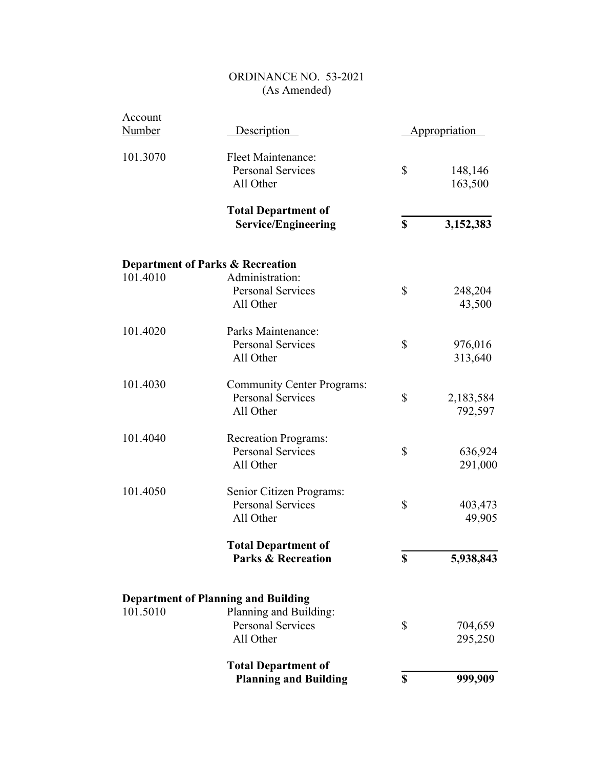| Account<br><b>Number</b> | Description                                                                | Appropriation              |
|--------------------------|----------------------------------------------------------------------------|----------------------------|
| 101.3070                 | <b>Fleet Maintenance:</b><br><b>Personal Services</b><br>All Other         | \$<br>148,146<br>163,500   |
|                          | <b>Total Department of</b><br><b>Service/Engineering</b>                   | \$<br>3,152,383            |
|                          | <b>Department of Parks &amp; Recreation</b>                                |                            |
| 101.4010                 | Administration:<br><b>Personal Services</b><br>All Other                   | \$<br>248,204<br>43,500    |
| 101.4020                 | Parks Maintenance:<br><b>Personal Services</b><br>All Other                | \$<br>976,016<br>313,640   |
| 101.4030                 | <b>Community Center Programs:</b><br><b>Personal Services</b><br>All Other | \$<br>2,183,584<br>792,597 |
| 101.4040                 | <b>Recreation Programs:</b><br><b>Personal Services</b><br>All Other       | \$<br>636,924<br>291,000   |
| 101.4050                 | Senior Citizen Programs:<br><b>Personal Services</b><br>All Other          | \$<br>403,473<br>49,905    |
|                          | <b>Total Department of</b><br><b>Parks &amp; Recreation</b>                | \$<br>5,938,843            |
|                          | <b>Department of Planning and Building</b>                                 |                            |
| 101.5010                 | Planning and Building:<br><b>Personal Services</b><br>All Other            | \$<br>704,659<br>295,250   |
|                          | <b>Total Department of</b><br><b>Planning and Building</b>                 | \$<br>999,909              |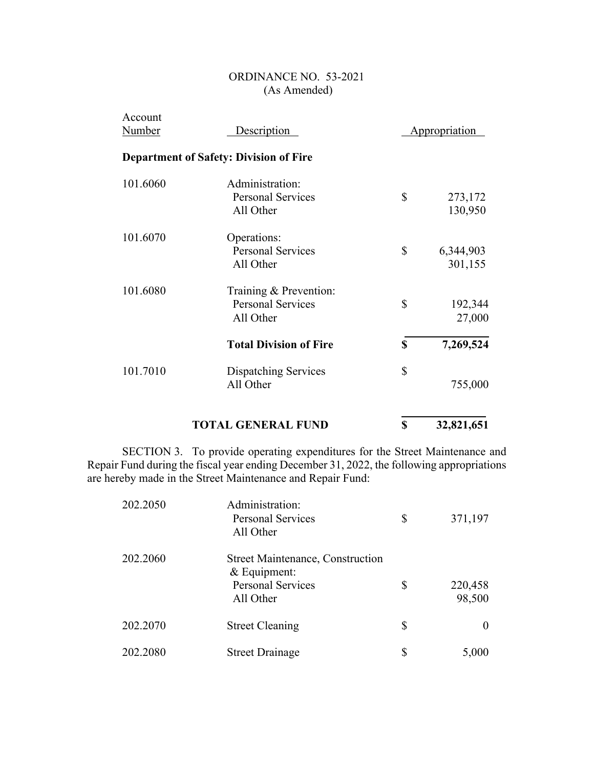| Account<br><b>Number</b> | Description                                                     |    | <b>Appropriation</b> |
|--------------------------|-----------------------------------------------------------------|----|----------------------|
|                          | <b>Department of Safety: Division of Fire</b>                   |    |                      |
| 101.6060                 | Administration:<br><b>Personal Services</b><br>All Other        | \$ | 273,172<br>130,950   |
| 101.6070                 | Operations:<br><b>Personal Services</b><br>All Other            | \$ | 6,344,903<br>301,155 |
| 101.6080                 | Training & Prevention:<br><b>Personal Services</b><br>All Other | \$ | 192,344<br>27,000    |
|                          | <b>Total Division of Fire</b>                                   | S  | 7,269,524            |
| 101.7010                 | <b>Dispatching Services</b><br>All Other                        | \$ | 755,000              |
|                          |                                                                 |    |                      |

# **TOTAL GENERAL FUND 8** 32,821,651

SECTION 3. To provide operating expenditures for the Street Maintenance and Repair Fund during the fiscal year ending December 31, 2022, the following appropriations are hereby made in the Street Maintenance and Repair Fund:

| 202.2050 | Administration:<br><b>Personal Services</b><br>All Other                                           | \$<br>371,197           |
|----------|----------------------------------------------------------------------------------------------------|-------------------------|
| 202.2060 | <b>Street Maintenance, Construction</b><br>$&$ Equipment:<br><b>Personal Services</b><br>All Other | \$<br>220,458<br>98,500 |
| 202.2070 | <b>Street Cleaning</b>                                                                             | \$                      |
| 202.2080 | <b>Street Drainage</b>                                                                             | \$<br>5,000             |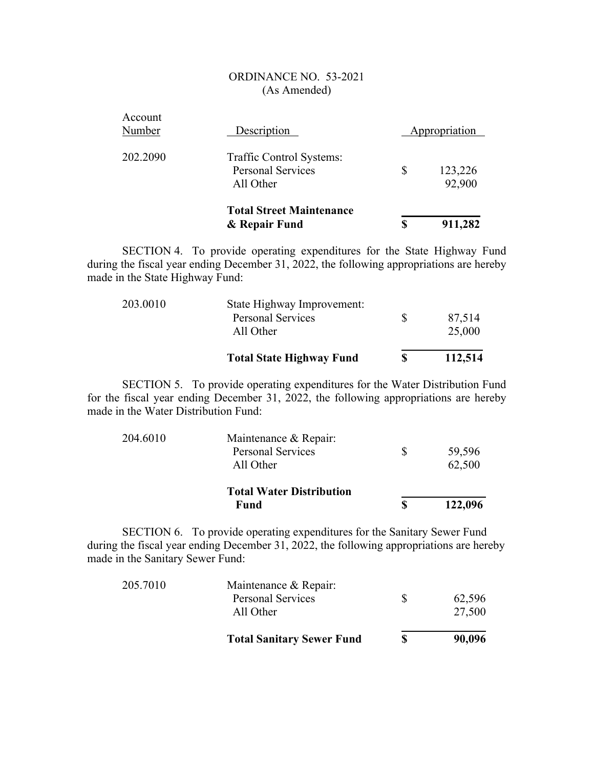|                   | <b>Total Street Maintenance</b><br>& Repair Fund                  | S  | 911,282           |
|-------------------|-------------------------------------------------------------------|----|-------------------|
| 202.2090          | Traffic Control Systems:<br><b>Personal Services</b><br>All Other | \$ | 123,226<br>92,900 |
| Account<br>Number | Description                                                       |    | Appropriation     |

SECTION 4. To provide operating expenditures for the State Highway Fund during the fiscal year ending December 31, 2022, the following appropriations are hereby made in the State Highway Fund:

|          | <b>Total State Highway Fund</b>       | S | 112,514          |
|----------|---------------------------------------|---|------------------|
|          | <b>Personal Services</b><br>All Other | S | 87,514<br>25,000 |
| 203.0010 | State Highway Improvement:            |   |                  |

SECTION 5. To provide operating expenditures for the Water Distribution Fund for the fiscal year ending December 31, 2022, the following appropriations are hereby made in the Water Distribution Fund:

|          | <b>Total Water Distribution</b><br>Fund |              | 122,096 |
|----------|-----------------------------------------|--------------|---------|
|          | All Other                               |              | 62,500  |
|          | <b>Personal Services</b>                | <sup>8</sup> | 59,596  |
| 204.6010 | Maintenance & Repair:                   |              |         |

SECTION 6. To provide operating expenditures for the Sanitary Sewer Fund during the fiscal year ending December 31, 2022, the following appropriations are hereby made in the Sanitary Sewer Fund:

|          | <b>Total Sanitary Sewer Fund</b> | S | 90,096 |
|----------|----------------------------------|---|--------|
|          | All Other                        |   | 27,500 |
|          | <b>Personal Services</b>         | S | 62,596 |
| 205.7010 | Maintenance & Repair:            |   |        |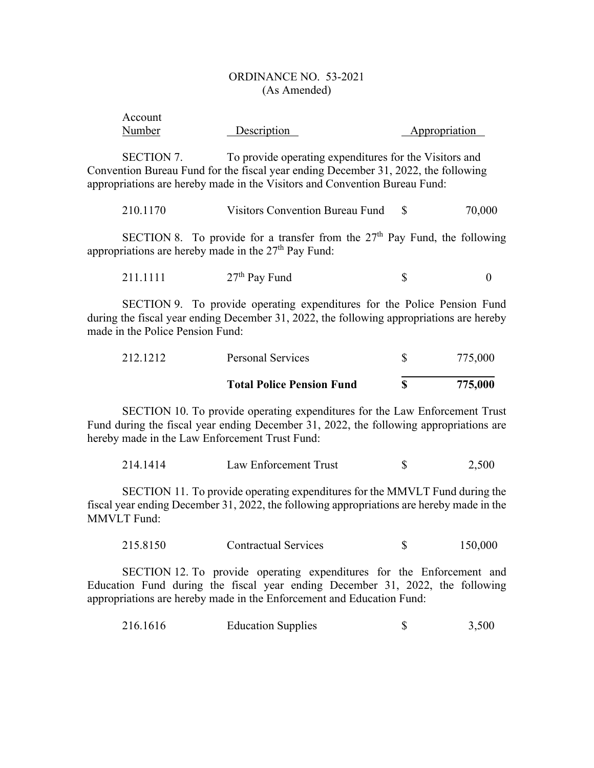| Account |             |               |
|---------|-------------|---------------|
| Number  | Description | Appropriation |

SECTION 7. To provide operating expenditures for the Visitors and Convention Bureau Fund for the fiscal year ending December 31, 2022, the following appropriations are hereby made in the Visitors and Convention Bureau Fund:

| 210.1170 | Visitors Convention Bureau Fund |  | 70,000 |
|----------|---------------------------------|--|--------|
|----------|---------------------------------|--|--------|

SECTION 8. To provide for a transfer from the  $27<sup>th</sup>$  Pay Fund, the following appropriations are hereby made in the  $27<sup>th</sup>$  Pay Fund:

| 211.1111 | $27th$ Pay Fund |  |  |
|----------|-----------------|--|--|
|----------|-----------------|--|--|

SECTION 9. To provide operating expenditures for the Police Pension Fund during the fiscal year ending December 31, 2022, the following appropriations are hereby made in the Police Pension Fund:

|          | <b>Total Police Pension Fund</b> | 775,000 |
|----------|----------------------------------|---------|
| 212.1212 | Personal Services                | 775,000 |

SECTION 10. To provide operating expenditures for the Law Enforcement Trust Fund during the fiscal year ending December 31, 2022, the following appropriations are hereby made in the Law Enforcement Trust Fund:

| 214.1414 | Law Enforcement Trust |  | 2.500 |
|----------|-----------------------|--|-------|
|----------|-----------------------|--|-------|

SECTION 11. To provide operating expenditures for the MMVLT Fund during the fiscal year ending December 31, 2022, the following appropriations are hereby made in the MMVLT Fund:

| 150,000 |
|---------|
|         |

SECTION 12. To provide operating expenditures for the Enforcement and Education Fund during the fiscal year ending December 31, 2022, the following appropriations are hereby made in the Enforcement and Education Fund:

| 216.1616 | <b>Education Supplies</b> | 3,500 |
|----------|---------------------------|-------|
|          |                           |       |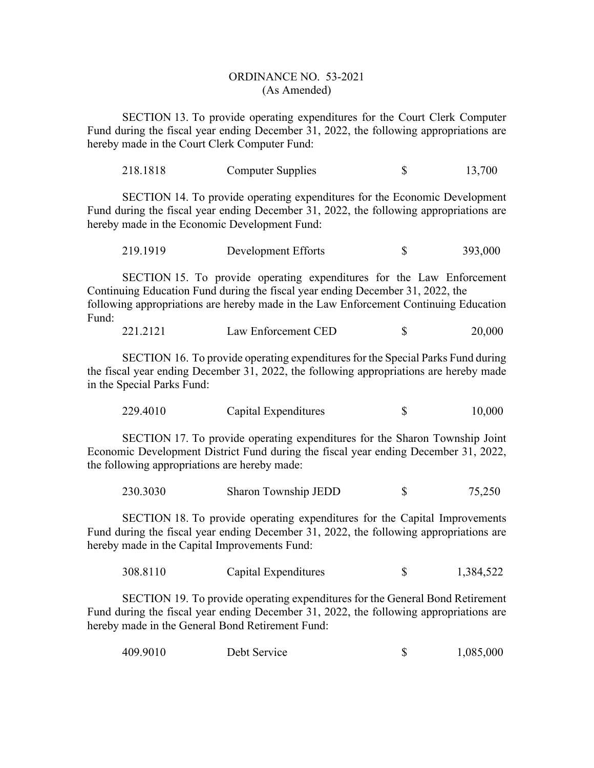SECTION 13. To provide operating expenditures for the Court Clerk Computer Fund during the fiscal year ending December 31, 2022, the following appropriations are hereby made in the Court Clerk Computer Fund:

| 218.1818 | Computer Supplies | 13,700 |
|----------|-------------------|--------|
|          |                   |        |

SECTION 14. To provide operating expenditures for the Economic Development Fund during the fiscal year ending December 31, 2022, the following appropriations are hereby made in the Economic Development Fund:

| 219.1919 | Development Efforts |  | 393,000 |
|----------|---------------------|--|---------|
|----------|---------------------|--|---------|

SECTION 15. To provide operating expenditures for the Law Enforcement Continuing Education Fund during the fiscal year ending December 31, 2022, the following appropriations are hereby made in the Law Enforcement Continuing Education Fund:

| 221.2121<br>Law Enforcement CED |  | 20.000 |
|---------------------------------|--|--------|
|---------------------------------|--|--------|

SECTION 16. To provide operating expenditures for the Special Parks Fund during the fiscal year ending December 31, 2022, the following appropriations are hereby made in the Special Parks Fund:

| 229.4010<br>10,000<br>Capital Expenditures |
|--------------------------------------------|
|--------------------------------------------|

SECTION 17. To provide operating expenditures for the Sharon Township Joint Economic Development District Fund during the fiscal year ending December 31, 2022, the following appropriations are hereby made:

| Sharon Township JEDD<br>230.3030 |  | 75,250 |
|----------------------------------|--|--------|
|----------------------------------|--|--------|

SECTION 18. To provide operating expenditures for the Capital Improvements Fund during the fiscal year ending December 31, 2022, the following appropriations are hereby made in the Capital Improvements Fund:

| 308.8110 | Capital Expenditures |  | 1,384,522 |
|----------|----------------------|--|-----------|
|----------|----------------------|--|-----------|

SECTION 19. To provide operating expenditures for the General Bond Retirement Fund during the fiscal year ending December 31, 2022, the following appropriations are hereby made in the General Bond Retirement Fund:

| 409.9010 | Debt Service |  | 1,085,000 |
|----------|--------------|--|-----------|
|----------|--------------|--|-----------|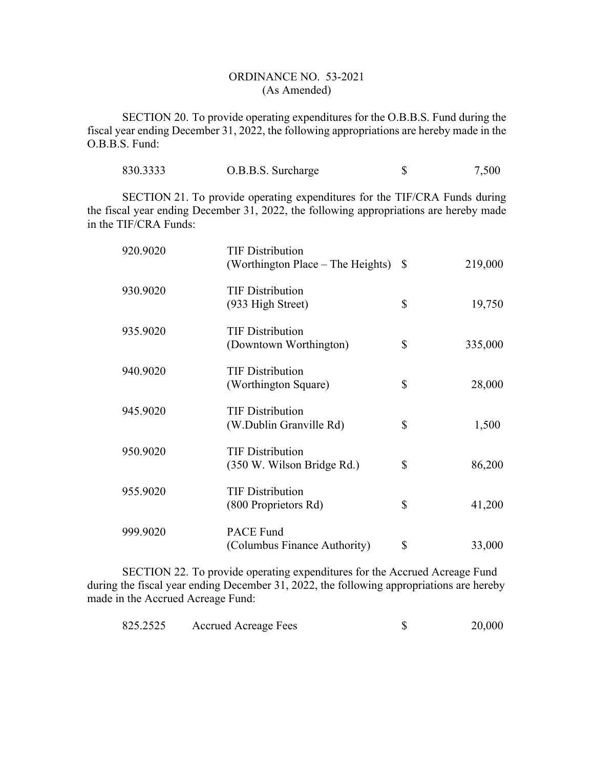SECTION 20. To provide operating expenditures for the O.B.B.S. Fund during the fiscal year ending December 31, 2022, the following appropriations are hereby made in the O.B.B.S. Fund:

| 830.3333 | O.B.B.S. Surcharge |  | 7,500 |
|----------|--------------------|--|-------|
|----------|--------------------|--|-------|

SECTION 21. To provide operating expenditures for the TIF/CRA Funds during the fiscal year ending December 31, 2022, the following appropriations are hereby made in the TIF/CRA Funds:

| 920.9020 | <b>TIF Distribution</b><br>(Worthington Place – The Heights) $\$$ | 219,000       |
|----------|-------------------------------------------------------------------|---------------|
| 930.9020 | <b>TIF Distribution</b><br>(933 High Street)                      | \$<br>19,750  |
| 935.9020 | <b>TIF Distribution</b><br>(Downtown Worthington)                 | \$<br>335,000 |
| 940.9020 | <b>TIF Distribution</b><br>(Worthington Square)                   | \$<br>28,000  |
| 945.9020 | <b>TIF Distribution</b><br>(W.Dublin Granville Rd)                | \$<br>1,500   |
| 950.9020 | <b>TIF Distribution</b><br>(350 W. Wilson Bridge Rd.)             | \$<br>86,200  |
| 955.9020 | <b>TIF Distribution</b><br>(800 Proprietors Rd)                   | \$<br>41,200  |
| 999.9020 | <b>PACE Fund</b><br>(Columbus Finance Authority)                  | \$<br>33,000  |

SECTION 22. To provide operating expenditures for the Accrued Acreage Fund during the fiscal year ending December 31, 2022, the following appropriations are hereby made in the Accrued Acreage Fund:

| 825.2525 | <b>Accrued Acreage Fees</b> |  | 20,000 |
|----------|-----------------------------|--|--------|
|----------|-----------------------------|--|--------|